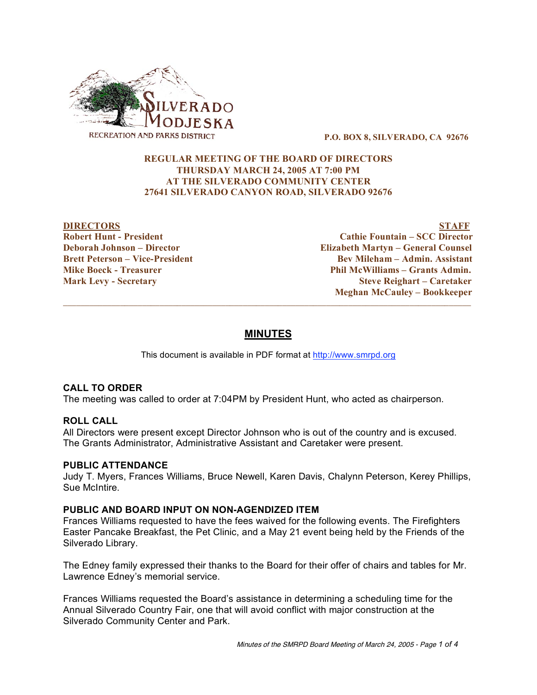

**P.O. BOX 8, SILVERADO, CA 92676**

# **REGULAR MEETING OF THE BOARD OF DIRECTORS THURSDAY MARCH 24, 2005 AT 7:00 PM AT THE SILVERADO COMMUNITY CENTER 27641 SILVERADO CANYON ROAD, SILVERADO 92676**

**DIRECTORS STAFF Robert Hunt - President Cathie Fountain – SCC Director Deborah Johnson – Director Elizabeth Martyn – General Counsel Brett Peterson – Vice-President Bev Mileham – Admin. Assistant Mike Boeck - Treasurer Phil McWilliams – Grants Admin. Mark Levy - Secretary Steve Reighart – Caretaker Meghan McCauley – Bookkeeper**

# **MINUTES**

 $\overline{\phantom{a}}$  , and the contribution of the contribution of the contribution of the contribution of the contribution of the contribution of the contribution of the contribution of the contribution of the contribution of the

This document is available in PDF format at http://www.smrpd.org

# **CALL TO ORDER**

The meeting was called to order at 7:04PM by President Hunt, who acted as chairperson.

## **ROLL CALL**

All Directors were present except Director Johnson who is out of the country and is excused. The Grants Administrator, Administrative Assistant and Caretaker were present.

## **PUBLIC ATTENDANCE**

Judy T. Myers, Frances Williams, Bruce Newell, Karen Davis, Chalynn Peterson, Kerey Phillips, Sue McIntire.

## **PUBLIC AND BOARD INPUT ON NON-AGENDIZED ITEM**

Frances Williams requested to have the fees waived for the following events. The Firefighters Easter Pancake Breakfast, the Pet Clinic, and a May 21 event being held by the Friends of the Silverado Library.

The Edney family expressed their thanks to the Board for their offer of chairs and tables for Mr. Lawrence Edney's memorial service.

Frances Williams requested the Board's assistance in determining a scheduling time for the Annual Silverado Country Fair, one that will avoid conflict with major construction at the Silverado Community Center and Park.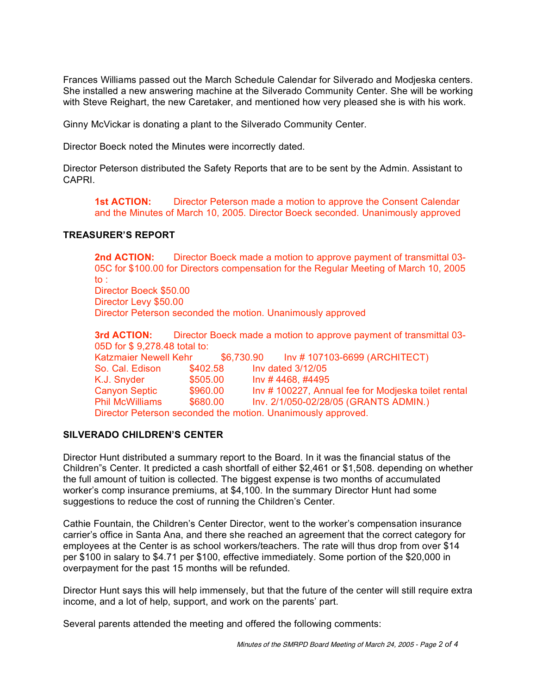Frances Williams passed out the March Schedule Calendar for Silverado and Modjeska centers. She installed a new answering machine at the Silverado Community Center. She will be working with Steve Reighart, the new Caretaker, and mentioned how very pleased she is with his work.

Ginny McVickar is donating a plant to the Silverado Community Center.

Director Boeck noted the Minutes were incorrectly dated.

Director Peterson distributed the Safety Reports that are to be sent by the Admin. Assistant to CAPRI.

**1st ACTION:** Director Peterson made a motion to approve the Consent Calendar and the Minutes of March 10, 2005. Director Boeck seconded. Unanimously approved

# **TREASURER'S REPORT**

**2nd ACTION:** Director Boeck made a motion to approve payment of transmittal 03- 05C for \$100.00 for Directors compensation for the Regular Meeting of March 10, 2005 to : Director Boeck \$50.00 Director Levy \$50.00

Director Peterson seconded the motion. Unanimously approved

**3rd ACTION:** Director Boeck made a motion to approve payment of transmittal 03- 05D for \$ 9,278.48 total to: Katzmaier Newell Kehr \$6,730.90 Inv # 107103-6699 (ARCHITECT) So. Cal. Edison \$402.58 Inv dated 3/12/05 K.J. Snyder  $$505.00$  Inv # 4468, #4495 Canyon Septic \$960.00 Inv # 100227, Annual fee for Modjeska toilet rental Phil McWilliams \$680.00 Inv. 2/1/050-02/28/05 (GRANTS ADMIN.) Director Peterson seconded the motion. Unanimously approved.

# **SILVERADO CHILDREN'S CENTER**

Director Hunt distributed a summary report to the Board. In it was the financial status of the Children"s Center. It predicted a cash shortfall of either \$2,461 or \$1,508. depending on whether the full amount of tuition is collected. The biggest expense is two months of accumulated worker's comp insurance premiums, at \$4,100. In the summary Director Hunt had some suggestions to reduce the cost of running the Children's Center.

Cathie Fountain, the Children's Center Director, went to the worker's compensation insurance carrier's office in Santa Ana, and there she reached an agreement that the correct category for employees at the Center is as school workers/teachers. The rate will thus drop from over \$14 per \$100 in salary to \$4.71 per \$100, effective immediately. Some portion of the \$20,000 in overpayment for the past 15 months will be refunded.

Director Hunt says this will help immensely, but that the future of the center will still require extra income, and a lot of help, support, and work on the parents' part.

Several parents attended the meeting and offered the following comments: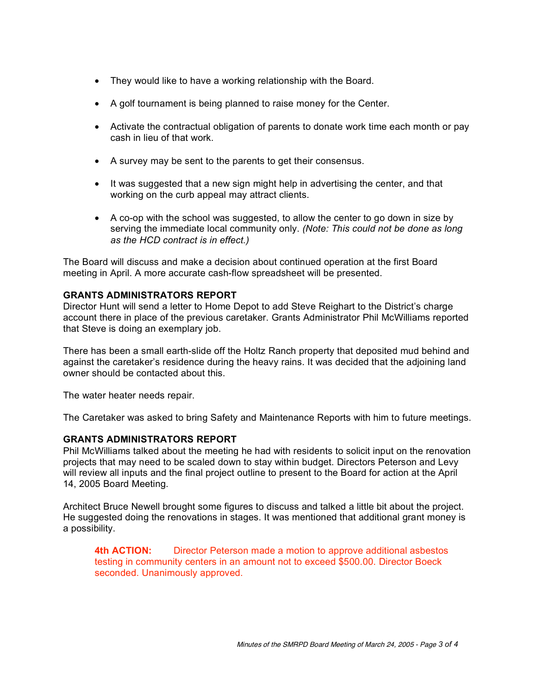- They would like to have a working relationship with the Board.
- A golf tournament is being planned to raise money for the Center.
- Activate the contractual obligation of parents to donate work time each month or pay cash in lieu of that work.
- A survey may be sent to the parents to get their consensus.
- It was suggested that a new sign might help in advertising the center, and that working on the curb appeal may attract clients.
- A co-op with the school was suggested, to allow the center to go down in size by serving the immediate local community only. *(Note: This could not be done as long as the HCD contract is in effect.)*

The Board will discuss and make a decision about continued operation at the first Board meeting in April. A more accurate cash-flow spreadsheet will be presented.

# **GRANTS ADMINISTRATORS REPORT**

Director Hunt will send a letter to Home Depot to add Steve Reighart to the District's charge account there in place of the previous caretaker. Grants Administrator Phil McWilliams reported that Steve is doing an exemplary job.

There has been a small earth-slide off the Holtz Ranch property that deposited mud behind and against the caretaker's residence during the heavy rains. It was decided that the adjoining land owner should be contacted about this.

The water heater needs repair.

The Caretaker was asked to bring Safety and Maintenance Reports with him to future meetings.

## **GRANTS ADMINISTRATORS REPORT**

Phil McWilliams talked about the meeting he had with residents to solicit input on the renovation projects that may need to be scaled down to stay within budget. Directors Peterson and Levy will review all inputs and the final project outline to present to the Board for action at the April 14, 2005 Board Meeting.

Architect Bruce Newell brought some figures to discuss and talked a little bit about the project. He suggested doing the renovations in stages. It was mentioned that additional grant money is a possibility.

**4th ACTION:** Director Peterson made a motion to approve additional asbestos testing in community centers in an amount not to exceed \$500.00. Director Boeck seconded. Unanimously approved.